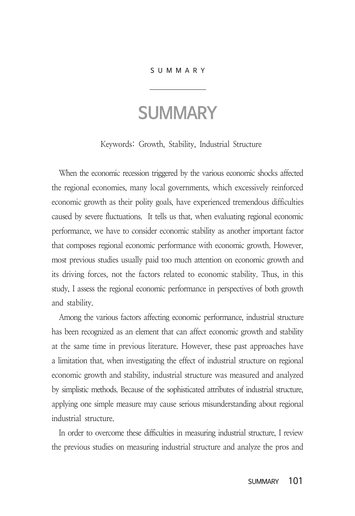## S U M M A R Y

## **SUMMARY**

Keywords: Growth, Stability, Industrial Structure

When the economic recession triggered by the various economic shocks affected the regional economies, many local governments, which excessively reinforced economic growth as their polity goals, have experienced tremendous difficulties caused by severe fluctuations. It tells us that, when evaluating regional economic performance, we have to consider economic stability as another important factor that composes regional economic performance with economic growth. However, most previous studies usually paid too much attention on economic growth and its driving forces, not the factors related to economic stability. Thus, in this study, I assess the regional economic performance in perspectives of both growth and stability.

Among the various factors affecting economic performance, industrial structure has been recognized as an element that can affect economic growth and stability at the same time in previous literature. However, these past approaches have a limitation that, when investigating the effect of industrial structure on regional economic growth and stability, industrial structure was measured and analyzed by simplistic methods. Because of the sophisticated attributes of industrial structure, applying one simple measure may cause serious misunderstanding about regional industrial structure.

In order to overcome these difficulties in measuring industrial structure, I review the previous studies on measuring industrial structure and analyze the pros and